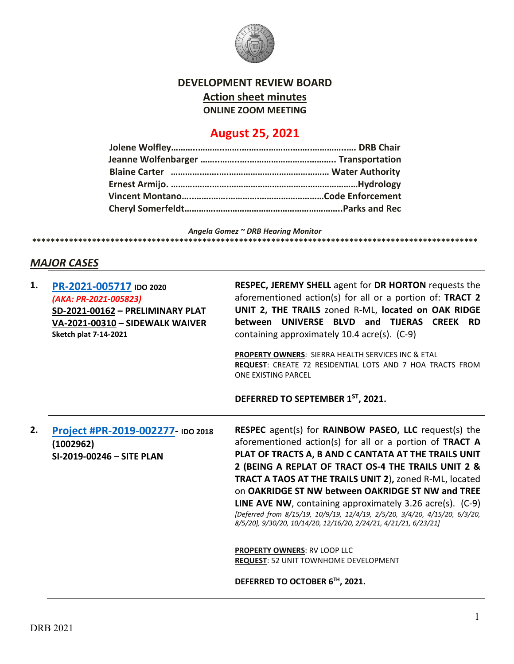

## **DEVELOPMENT REVIEW BOARD Action sheet minutes ONLINE ZOOM MEETING**

# **August 25, 2021**

*Angela Gomez ~ DRB Hearing Monitor* **\*\*\*\*\*\*\*\*\*\*\*\*\*\*\*\*\*\*\*\*\*\*\*\*\*\*\*\*\*\*\*\*\*\*\*\*\*\*\*\*\*\*\*\*\*\*\*\*\*\*\*\*\*\*\*\*\*\*\*\*\*\*\*\*\*\*\*\*\*\*\*\*\*\*\*\*\*\*\*\*\*\*\*\*\*\*\*\*\*\*\*\*\*\*\*\*\***

## *MAJOR CASES*

| 1. | PR-2021-005717 IDO 2020<br>(AKA: PR-2021-005823)<br>SD-2021-00162 - PRELIMINARY PLAT<br>VA-2021-00310 - SIDEWALK WAIVER<br><b>Sketch plat 7-14-2021</b> | RESPEC, JEREMY SHELL agent for DR HORTON requests the<br>aforementioned action(s) for all or a portion of: TRACT 2<br>UNIT 2, THE TRAILS zoned R-ML, located on OAK RIDGE<br>between UNIVERSE BLVD and TIJERAS CREEK RD<br>containing approximately 10.4 acre(s). (C-9)<br><b>PROPERTY OWNERS: SIERRA HEALTH SERVICES INC &amp; ETAL</b><br>REQUEST: CREATE 72 RESIDENTIAL LOTS AND 7 HOA TRACTS FROM<br>ONE EXISTING PARCEL<br>DEFERRED TO SEPTEMBER 1ST, 2021.                                                                                                                                                                                         |
|----|---------------------------------------------------------------------------------------------------------------------------------------------------------|----------------------------------------------------------------------------------------------------------------------------------------------------------------------------------------------------------------------------------------------------------------------------------------------------------------------------------------------------------------------------------------------------------------------------------------------------------------------------------------------------------------------------------------------------------------------------------------------------------------------------------------------------------|
| 2. | Project #PR-2019-002277-100 2018<br>(1002962)<br>SI-2019-00246 - SITE PLAN                                                                              | RESPEC agent(s) for RAINBOW PASEO, LLC request(s) the<br>aforementioned action(s) for all or a portion of TRACT A<br>PLAT OF TRACTS A, B AND C CANTATA AT THE TRAILS UNIT<br>2 (BEING A REPLAT OF TRACT OS-4 THE TRAILS UNIT 2 &<br>TRACT A TAOS AT THE TRAILS UNIT 2), zoned R-ML, located<br>on OAKRIDGE ST NW between OAKRIDGE ST NW and TREE<br><b>LINE AVE NW, containing approximately 3.26 acre(s).</b> $(C-9)$<br>[Deferred from 8/15/19, 10/9/19, 12/4/19, 2/5/20, 3/4/20, 4/15/20, 6/3/20,<br>8/5/20], 9/30/20, 10/14/20, 12/16/20, 2/24/21, 4/21/21, 6/23/21]<br>PROPERTY OWNERS: RV LOOP LLC<br><b>REQUEST: 52 UNIT TOWNHOME DEVELOPMENT</b> |
|    |                                                                                                                                                         | DEFERRED TO OCTOBER 6TH, 2021.                                                                                                                                                                                                                                                                                                                                                                                                                                                                                                                                                                                                                           |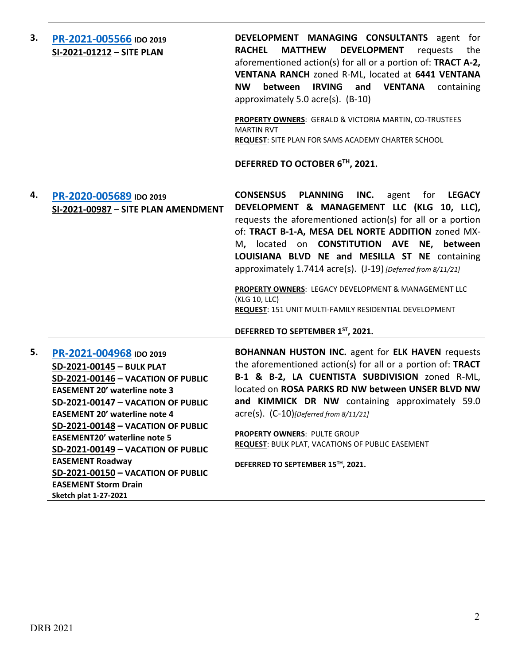| 3. | PR-2021-005566 IDO 2019<br>SI-2021-01212 - SITE PLAN                                                                                                                                                                                                                                                                                                                                                                                                                       | DEVELOPMENT MANAGING CONSULTANTS agent for<br><b>MATTHEW</b><br><b>DEVELOPMENT</b><br><b>RACHEL</b><br>requests<br>the<br>aforementioned action(s) for all or a portion of: TRACT A-2,<br>VENTANA RANCH zoned R-ML, located at 6441 VENTANA<br><b>IRVING</b><br>and<br><b>VENTANA</b><br><b>NW</b><br>between<br>containing<br>approximately 5.0 acre(s). (B-10)<br>PROPERTY OWNERS: GERALD & VICTORIA MARTIN, CO-TRUSTEES<br><b>MARTIN RVT</b><br><b>REQUEST:</b> SITE PLAN FOR SAMS ACADEMY CHARTER SCHOOL<br>DEFERRED TO OCTOBER 6TH, 2021.                                         |
|----|----------------------------------------------------------------------------------------------------------------------------------------------------------------------------------------------------------------------------------------------------------------------------------------------------------------------------------------------------------------------------------------------------------------------------------------------------------------------------|----------------------------------------------------------------------------------------------------------------------------------------------------------------------------------------------------------------------------------------------------------------------------------------------------------------------------------------------------------------------------------------------------------------------------------------------------------------------------------------------------------------------------------------------------------------------------------------|
| 4. | PR-2020-005689 IDO 2019<br>SI-2021-00987 - SITE PLAN AMENDMENT                                                                                                                                                                                                                                                                                                                                                                                                             | INC.<br><b>CONSENSUS</b><br><b>PLANNING</b><br><b>LEGACY</b><br>agent<br>for<br>DEVELOPMENT & MANAGEMENT LLC (KLG 10, LLC),<br>requests the aforementioned action(s) for all or a portion<br>of: TRACT B-1-A, MESA DEL NORTE ADDITION zoned MX-<br>M, located on CONSTITUTION AVE NE, between<br>LOUISIANA BLVD NE and MESILLA ST NE containing<br>approximately 1.7414 acre(s). (J-19) [Deferred from 8/11/21]<br>PROPERTY OWNERS: LEGACY DEVELOPMENT & MANAGEMENT LLC<br>(KLG 10, LLC)<br>REQUEST: 151 UNIT MULTI-FAMILY RESIDENTIAL DEVELOPMENT<br>DEFERRED TO SEPTEMBER 1ST, 2021. |
|    |                                                                                                                                                                                                                                                                                                                                                                                                                                                                            |                                                                                                                                                                                                                                                                                                                                                                                                                                                                                                                                                                                        |
| 5. | PR-2021-004968 IDO 2019<br>SD-2021-00145 - BULK PLAT<br>SD-2021-00146 - VACATION OF PUBLIC<br><b>EASEMENT 20' waterline note 3</b><br><b>SD-2021-00147 - VACATION OF PUBLIC</b><br><b>EASEMENT 20' waterline note 4</b><br>SD-2021-00148 - VACATION OF PUBLIC<br><b>EASEMENT20' waterline note 5</b><br>SD-2021-00149 - VACATION OF PUBLIC<br><b>EASEMENT Roadway</b><br>SD-2021-00150 - VACATION OF PUBLIC<br><b>EASEMENT Storm Drain</b><br><b>Sketch plat 1-27-2021</b> | <b>BOHANNAN HUSTON INC.</b> agent for ELK HAVEN requests<br>the aforementioned action(s) for all or a portion of: TRACT<br>B-1 & B-2, LA CUENTISTA SUBDIVISION zoned R-ML,<br>located on ROSA PARKS RD NW between UNSER BLVD NW<br>and KIMMICK DR NW containing approximately 59.0<br>$\text{acre}(s)$ . $(C-10)$ [Deferred from 8/11/21]<br><b>PROPERTY OWNERS: PULTE GROUP</b><br><b>REQUEST: BULK PLAT, VACATIONS OF PUBLIC EASEMENT</b><br>DEFERRED TO SEPTEMBER 15TH, 2021.                                                                                                       |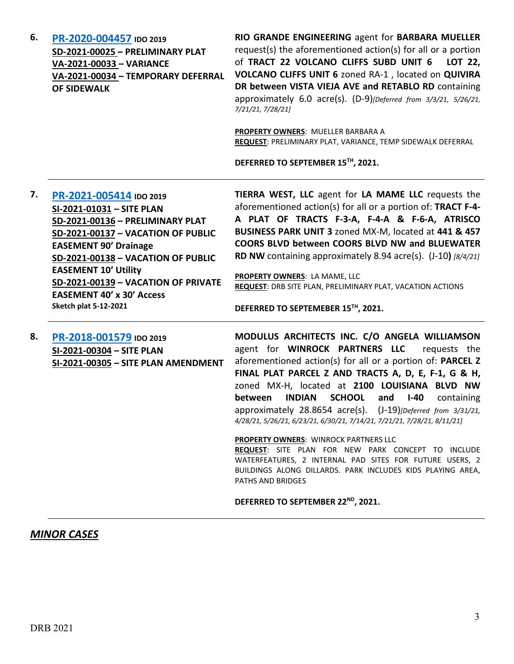| 6. | PR-2020-004457 IDO 2019            | <b>RIO GR</b>  |
|----|------------------------------------|----------------|
|    | SD-2021-00025 - PRELIMINARY PLAT   | request        |
|    | VA-2021-00033 - VARIANCE           | of TRA         |
|    | VA-2021-00034 - TEMPORARY DEFERRAL | <b>VOLCAI</b>  |
|    | <b>OF SIDEWALK</b>                 | <b>DR</b> bety |
|    |                                    | approxi        |

**SI-2021-00305 – SITE PLAN AMENDMENT**

**RIO GRANDE ENGINEERING** agent for **BARBARA MUELLER**  $r(s)$  the aforementioned action(s) for all or a portion of **TRACT 22 VOLCANO CLIFFS SUBD UNIT 6 LOT 22, VOLCANO CLIFFS UNIT 6** zoned RA-1 , located on **QUIVIRA**  ween VISTA VIEJA AVE and RETABLO RD containing approximately 6.0 acre(s). (D-9)*[Deferred from 3/3/21, 5/26/21, 7/21/21, 7/28/21]*

**PROPERTY OWNERS**: MUELLER BARBARA A **REQUEST**: PRELIMINARY PLAT, VARIANCE, TEMP SIDEWALK DEFERRAL

**DEFERRED TO SEPTEMBER 15TH, 2021.**

| 7. | PR-2021-005414 IDO 2019             | TIERRA WEST, LLC agent for LA MAME LLC requests the                                         |
|----|-------------------------------------|---------------------------------------------------------------------------------------------|
|    | SI-2021-01031 - SITE PLAN           | aforementioned action(s) for all or a portion of: TRACT F-4-                                |
|    | SD-2021-00136 - PRELIMINARY PLAT    | A PLAT OF TRACTS F-3-A, F-4-A & F-6-A, ATRISCO                                              |
|    | SD-2021-00137 - VACATION OF PUBLIC  | BUSINESS PARK UNIT 3 zoned MX-M, located at 441 & 457                                       |
|    | <b>EASEMENT 90' Drainage</b>        | <b>COORS BLVD between COORS BLVD NW and BLUEWATER</b>                                       |
|    | SD-2021-00138 - VACATION OF PUBLIC  | <b>RD NW</b> containing approximately 8.94 acre(s). $(1-10)$ [8/4/21]                       |
|    | <b>EASEMENT 10' Utility</b>         |                                                                                             |
|    | SD-2021-00139 - VACATION OF PRIVATE | PROPERTY OWNERS: LA MAME, LLC<br>REQUEST: DRB SITE PLAN, PRELIMINARY PLAT, VACATION ACTIONS |
|    | <b>EASEMENT 40' x 30' Access</b>    |                                                                                             |
|    | <b>Sketch plat 5-12-2021</b>        | DEFERRED TO SEPTEMEBER 15TH, 2021.                                                          |
|    |                                     |                                                                                             |
| 8. | PR-2018-001579 IDO 2019             | MODULUS ARCHITECTS INC. C/O ANGELA WILLIAMSON                                               |
|    | SI-2021-00304 - SITE PLAN           | WINROCK PARTNERS LLC<br>the<br>agent for<br>requests                                        |
|    |                                     |                                                                                             |

aforementioned action(s) for all or a portion of: **PARCEL Z FINAL PLAT PARCEL Z AND TRACTS A, D, E, F-1, G & H,**  zoned MX-H, located at **2100 LOUISIANA BLVD NW between INDIAN SCHOOL and I-40** containing approximately 28.8654 acre(s). (J-19)*[Deferred from 3/31/21, 4/28/21, 5/26/21, 6/23/21, 6/30/21, 7/14/21, 7/21/21, 7/28/21, 8/11/21]*

**PROPERTY OWNERS**: WINROCK PARTNERS LLC

**REQUEST**: SITE PLAN FOR NEW PARK CONCEPT TO INCLUDE WATERFEATURES, 2 INTERNAL PAD SITES FOR FUTURE USERS, 2 BUILDINGS ALONG DILLARDS. PARK INCLUDES KIDS PLAYING AREA, PATHS AND BRIDGES

#### DEFERRED TO SEPTEMBER 22<sup>ND</sup>, 2021.

### *MINOR CASES*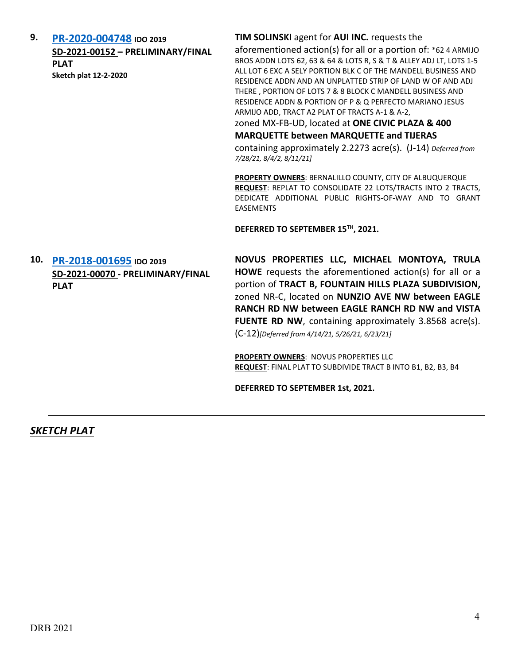| 9.  | PR-2020-004748 IDO 2019<br>SD-2021-00152 - PRELIMINARY/FINAL<br><b>PLAT</b><br><b>Sketch plat 12-2-2020</b> | TIM SOLINSKI agent for AUI INC. requests the<br>aforementioned action(s) for all or a portion of: *62 4 ARMIJO<br>BROS ADDN LOTS 62, 63 & 64 & LOTS R, S & T & ALLEY ADJ LT, LOTS 1-5<br>ALL LOT 6 EXC A SELY PORTION BLK C OF THE MANDELL BUSINESS AND<br>RESIDENCE ADDN AND AN UNPLATTED STRIP OF LAND W OF AND ADJ<br>THERE, PORTION OF LOTS 7 & 8 BLOCK C MANDELL BUSINESS AND<br>RESIDENCE ADDN & PORTION OF P & Q PERFECTO MARIANO JESUS<br>ARMIJO ADD, TRACT A2 PLAT OF TRACTS A-1 & A-2,<br>zoned MX-FB-UD, located at ONE CIVIC PLAZA & 400<br><b>MARQUETTE between MARQUETTE and TIJERAS</b><br>containing approximately 2.2273 acre(s). (J-14) Deferred from<br>7/28/21, 8/4/2, 8/11/21] |
|-----|-------------------------------------------------------------------------------------------------------------|-----------------------------------------------------------------------------------------------------------------------------------------------------------------------------------------------------------------------------------------------------------------------------------------------------------------------------------------------------------------------------------------------------------------------------------------------------------------------------------------------------------------------------------------------------------------------------------------------------------------------------------------------------------------------------------------------------|
|     |                                                                                                             | PROPERTY OWNERS: BERNALILLO COUNTY, CITY OF ALBUQUERQUE<br>REQUEST: REPLAT TO CONSOLIDATE 22 LOTS/TRACTS INTO 2 TRACTS,<br>DEDICATE ADDITIONAL PUBLIC RIGHTS-OF-WAY AND TO GRANT<br><b>EASEMENTS</b><br>DEFERRED TO SEPTEMBER 15TH, 2021.                                                                                                                                                                                                                                                                                                                                                                                                                                                           |
| 10. | PR-2018-001695 IDO 2019<br>SD-2021-00070 - PRELIMINARY/FINAL<br><b>PLAT</b>                                 | NOVUS PROPERTIES LLC, MICHAEL MONTOYA, TRULA<br>HOWE requests the aforementioned action(s) for all or a<br>portion of TRACT B, FOUNTAIN HILLS PLAZA SUBDIVISION,<br>zoned NR-C, located on NUNZIO AVE NW between EAGLE<br>RANCH RD NW between EAGLE RANCH RD NW and VISTA<br><b>FUENTE RD NW, containing approximately 3.8568 acre(s).</b><br>(C-12)[Deferred from 4/14/21, 5/26/21, 6/23/21]<br>PROPERTY OWNERS: NOVUS PROPERTIES LLC<br>REQUEST: FINAL PLAT TO SUBDIVIDE TRACT B INTO B1, B2, B3, B4<br>DEFERRED TO SEPTEMBER 1st, 2021.                                                                                                                                                          |

*SKETCH PLAT*